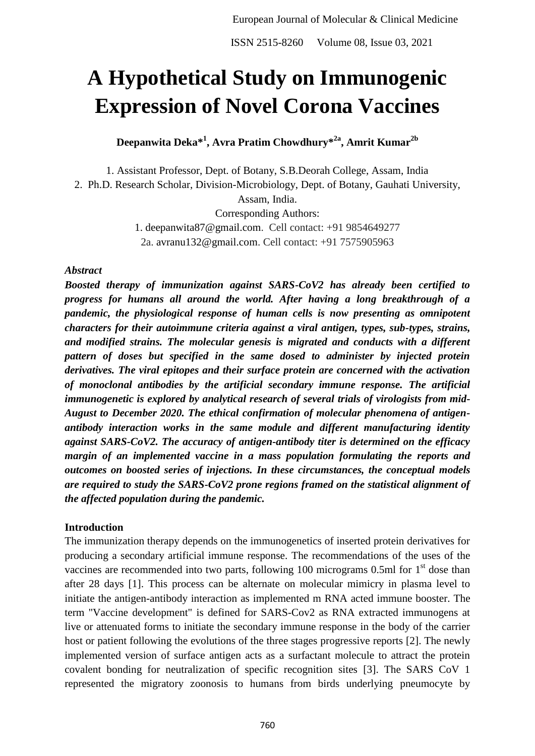# **A Hypothetical Study on Immunogenic Expression of Novel Corona Vaccines**

**Deepanwita Deka\* 1 , Avra Pratim Chowdhury\* 2a, Amrit Kumar2b**

1. Assistant Professor, Dept. of Botany, S.B.Deorah College, Assam, India 2. Ph.D. Research Scholar, Division-Microbiology, Dept. of Botany, Gauhati University, Assam, India.

Corresponding Authors:

1. deepanwita87@gmail.com. Cell contact: +91 9854649277 2a. avranu132@gmail.com. Cell contact: +91 7575905963

## *Abstract*

*Boosted therapy of immunization against SARS-CoV2 has already been certified to progress for humans all around the world. After having a long breakthrough of a pandemic, the physiological response of human cells is now presenting as omnipotent characters for their autoimmune criteria against a viral antigen, types, sub-types, strains, and modified strains. The molecular genesis is migrated and conducts with a different pattern of doses but specified in the same dosed to administer by injected protein derivatives. The viral epitopes and their surface protein are concerned with the activation of monoclonal antibodies by the artificial secondary immune response. The artificial immunogenetic is explored by analytical research of several trials of virologists from mid-August to December 2020. The ethical confirmation of molecular phenomena of antigenantibody interaction works in the same module and different manufacturing identity against SARS-CoV2. The accuracy of antigen-antibody titer is determined on the efficacy margin of an implemented vaccine in a mass population formulating the reports and outcomes on boosted series of injections. In these circumstances, the conceptual models are required to study the SARS-CoV2 prone regions framed on the statistical alignment of the affected population during the pandemic.* 

# **Introduction**

The immunization therapy depends on the immunogenetics of inserted protein derivatives for producing a secondary artificial immune response. The recommendations of the uses of the vaccines are recommended into two parts, following  $100$  micrograms  $0.5$ ml for  $1<sup>st</sup>$  dose than after 28 days [1]. This process can be alternate on molecular mimicry in plasma level to initiate the antigen-antibody interaction as implemented m RNA acted immune booster. The term "Vaccine development" is defined for SARS-Cov2 as RNA extracted immunogens at live or attenuated forms to initiate the secondary immune response in the body of the carrier host or patient following the evolutions of the three stages progressive reports [2]. The newly implemented version of surface antigen acts as a surfactant molecule to attract the protein covalent bonding for neutralization of specific recognition sites [3]. The SARS CoV 1 represented the migratory zoonosis to humans from birds underlying pneumocyte by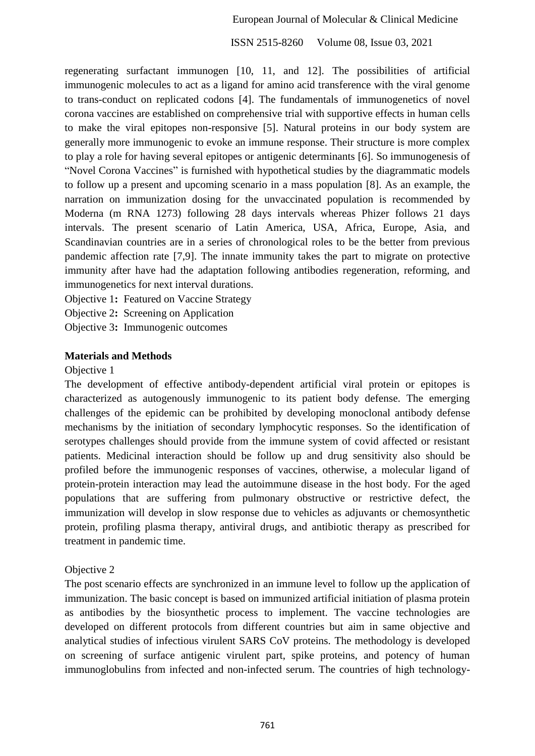regenerating surfactant immunogen [10, 11, and 12]. The possibilities of artificial immunogenic molecules to act as a ligand for amino acid transference with the viral genome to trans-conduct on replicated codons [4]. The fundamentals of immunogenetics of novel corona vaccines are established on comprehensive trial with supportive effects in human cells to make the viral epitopes non-responsive [5]. Natural proteins in our body system are generally more immunogenic to evoke an immune response. Their structure is more complex to play a role for having several epitopes or antigenic determinants [6]. So immunogenesis of "Novel Corona Vaccines" is furnished with hypothetical studies by the diagrammatic models to follow up a present and upcoming scenario in a mass population [8]. As an example, the narration on immunization dosing for the unvaccinated population is recommended by Moderna (m RNA 1273) following 28 days intervals whereas Phizer follows 21 days intervals. The present scenario of Latin America, USA, Africa, Europe, Asia, and Scandinavian countries are in a series of chronological roles to be the better from previous pandemic affection rate [7,9]. The innate immunity takes the part to migrate on protective immunity after have had the adaptation following antibodies regeneration, reforming, and immunogenetics for next interval durations.

Objective 1**:** Featured on Vaccine Strategy

Objective 2**:** Screening on Application

Objective 3**:** Immunogenic outcomes

#### **Materials and Methods**

#### Objective 1

The development of effective antibody-dependent artificial viral protein or epitopes is characterized as autogenously immunogenic to its patient body defense. The emerging challenges of the epidemic can be prohibited by developing monoclonal antibody defense mechanisms by the initiation of secondary lymphocytic responses. So the identification of serotypes challenges should provide from the immune system of covid affected or resistant patients. Medicinal interaction should be follow up and drug sensitivity also should be profiled before the immunogenic responses of vaccines, otherwise, a molecular ligand of protein-protein interaction may lead the autoimmune disease in the host body. For the aged populations that are suffering from pulmonary obstructive or restrictive defect, the immunization will develop in slow response due to vehicles as adjuvants or chemosynthetic protein, profiling plasma therapy, antiviral drugs, and antibiotic therapy as prescribed for treatment in pandemic time.

## Objective 2

The post scenario effects are synchronized in an immune level to follow up the application of immunization. The basic concept is based on immunized artificial initiation of plasma protein as antibodies by the biosynthetic process to implement. The vaccine technologies are developed on different protocols from different countries but aim in same objective and analytical studies of infectious virulent SARS CoV proteins. The methodology is developed on screening of surface antigenic virulent part, spike proteins, and potency of human immunoglobulins from infected and non-infected serum. The countries of high technology-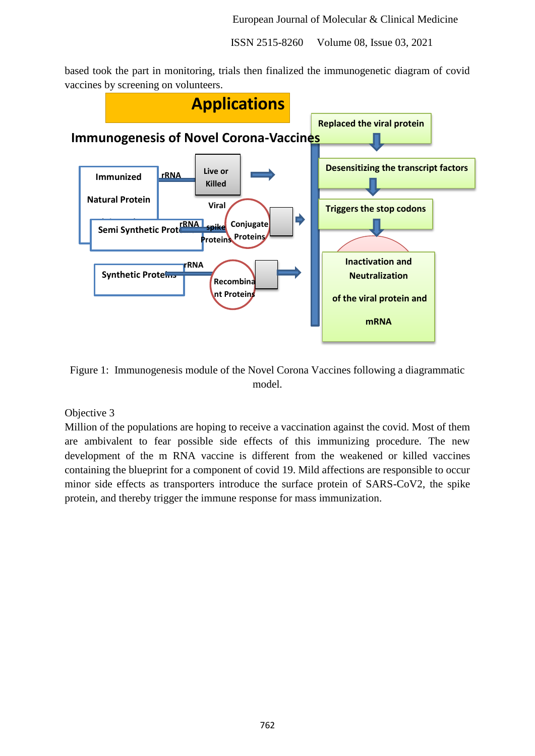based took the part in monitoring, trials then finalized the immunogenetic diagram of covid vaccines by screening on volunteers.



Figure 1: Immunogenesis module of the Novel Corona Vaccines following a diagrammatic model.

# Objective 3

Million of the populations are hoping to receive a vaccination against the covid. Most of them are ambivalent to fear possible side effects of this immunizing procedure. The new development of the m RNA vaccine is different from the weakened or killed vaccines containing the blueprint for a component of covid 19. Mild affections are responsible to occur minor side effects as transporters introduce the surface protein of SARS-CoV2, the spike protein, and thereby trigger the immune response for mass immunization.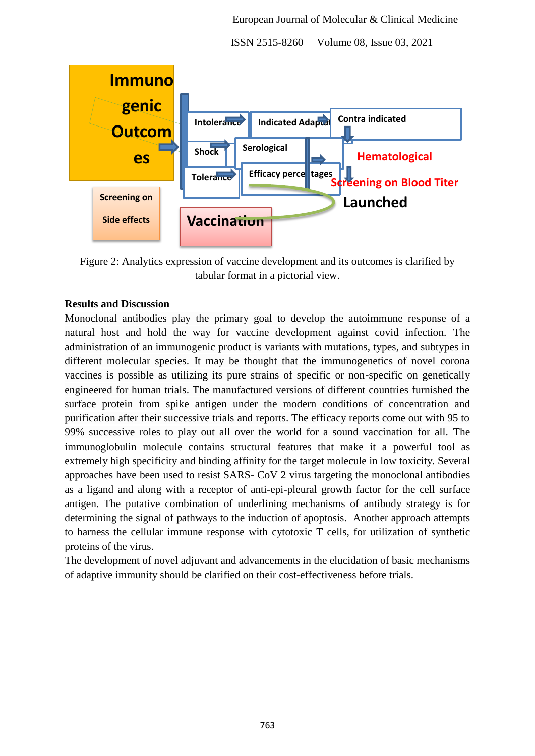European Journal of Molecular & Clinical Medicine



Figure 2: Analytics expression of vaccine development and its outcomes is clarified by tabular format in a pictorial view.

## **Results and Discussion**

Monoclonal antibodies play the primary goal to develop the autoimmune response of a natural host and hold the way for vaccine development against covid infection. The administration of an immunogenic product is variants with mutations, types, and subtypes in different molecular species. It may be thought that the immunogenetics of novel corona vaccines is possible as utilizing its pure strains of specific or non-specific on genetically engineered for human trials. The manufactured versions of different countries furnished the surface protein from spike antigen under the modern conditions of concentration and purification after their successive trials and reports. The efficacy reports come out with 95 to 99% successive roles to play out all over the world for a sound vaccination for all. The immunoglobulin molecule contains structural features that make it a powerful tool as extremely high specificity and binding affinity for the target molecule in low toxicity. Several approaches have been used to resist SARS- CoV 2 virus targeting the monoclonal antibodies as a ligand and along with a receptor of anti-epi-pleural growth factor for the cell surface antigen. The putative combination of underlining mechanisms of antibody strategy is for determining the signal of pathways to the induction of apoptosis. Another approach attempts to harness the cellular immune response with cytotoxic T cells, for utilization of synthetic proteins of the virus.

The development of novel adjuvant and advancements in the elucidation of basic mechanisms of adaptive immunity should be clarified on their cost-effectiveness before trials.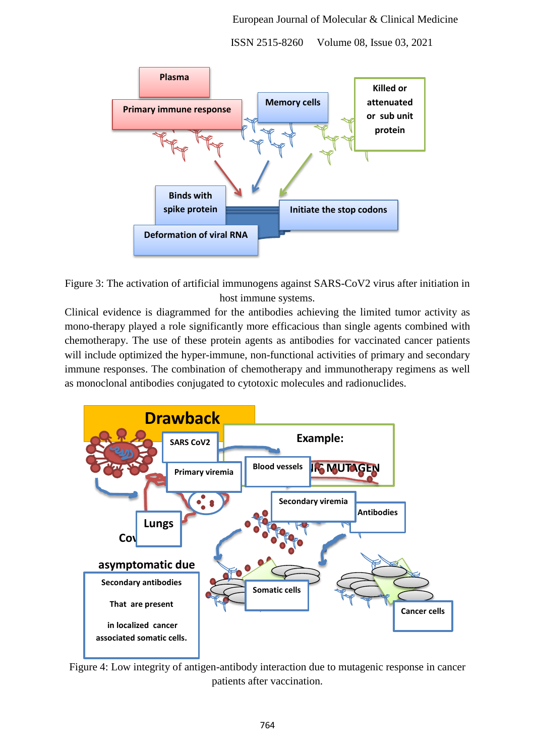## European Journal of Molecular & Clinical Medicine

ISSN 2515-8260 Volume 08, Issue 03, 2021





Clinical evidence is diagrammed for the antibodies achieving the limited tumor activity as mono-therapy played a role significantly more efficacious than single agents combined with chemotherapy. The use of these protein agents as antibodies for vaccinated cancer patients will include optimized the hyper-immune, non-functional activities of primary and secondary immune responses. The combination of chemotherapy and immunotherapy regimens as well as monoclonal antibodies conjugated to cytotoxic molecules and radionuclides.



Figure 4: Low integrity of antigen-antibody interaction due to mutagenic response in cancer patients after vaccination.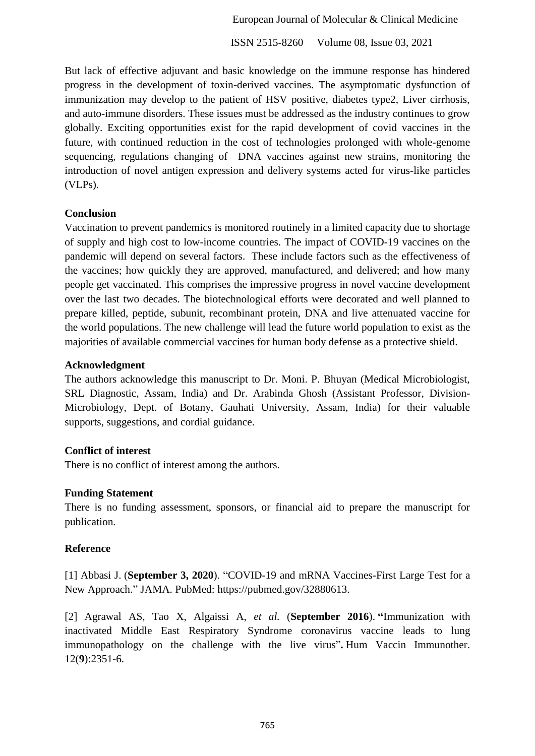European Journal of Molecular & Clinical Medicine

ISSN 2515-8260 Volume 08, Issue 03, 2021

But lack of effective adjuvant and basic knowledge on the immune response has hindered progress in the development of toxin-derived vaccines. The asymptomatic dysfunction of immunization may develop to the patient of HSV positive, diabetes type2, Liver cirrhosis, and auto-immune disorders. These issues must be addressed as the industry continues to grow globally. Exciting opportunities exist for the rapid development of covid vaccines in the future, with continued reduction in the cost of technologies prolonged with whole-genome sequencing, regulations changing of DNA vaccines against new strains, monitoring the introduction of novel antigen expression and delivery systems acted for virus-like particles (VLPs).

## **Conclusion**

Vaccination to prevent pandemics is monitored routinely in a limited capacity due to shortage of supply and high cost to low-income countries. The impact of COVID-19 vaccines on the pandemic will depend on several factors. These include factors such as the effectiveness of the vaccines; how quickly they are approved, manufactured, and delivered; and how many people get vaccinated. This comprises the impressive progress in novel vaccine development over the last two decades. The biotechnological efforts were decorated and well planned to prepare killed, peptide, subunit, recombinant protein, DNA and live attenuated vaccine for the world populations. The new challenge will lead the future world population to exist as the majorities of available commercial vaccines for human body defense as a protective shield.

## **Acknowledgment**

The authors acknowledge this manuscript to Dr. Moni. P. Bhuyan (Medical Microbiologist, SRL Diagnostic, Assam, India) and Dr. Arabinda Ghosh (Assistant Professor, Division-Microbiology, Dept. of Botany, Gauhati University, Assam, India) for their valuable supports, suggestions, and cordial guidance.

## **Conflict of interest**

There is no conflict of interest among the authors.

## **Funding Statement**

There is no funding assessment, sponsors, or financial aid to prepare the manuscript for publication.

#### **Reference**

[1] Abbasi J. (**September 3, 2020**). "COVID-19 and mRNA Vaccines-First Large Test for a New Approach." JAMA. PubMed: https://pubmed.gov/32880613.

[2] Agrawal AS, Tao X, Algaissi A, *et al.* (**September 2016**). **"**Immunization with inactivated Middle East Respiratory Syndrome coronavirus vaccine leads to lung immunopathology on the challenge with the live virus"**.** Hum Vaccin Immunother. 12(**9**):2351-6.